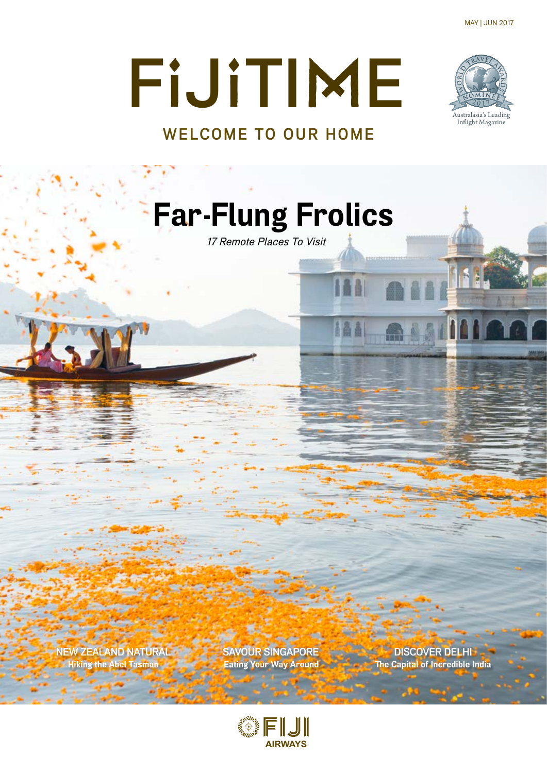MAY | JUN 2017



# **F**I**J**I**TI**M**E WELCOME TO OUR HOME**

**Far Flung Frolics**

17 Remote Places To Visit

**NEW ZEALAND NATURAL SAVOUR SINGAPORE**<br>Hiking the Abel Tasman **Discover Eating Your Way Around The Capital of Incredible** 

**The Capital of Incredible India** 

a 11 (11

184

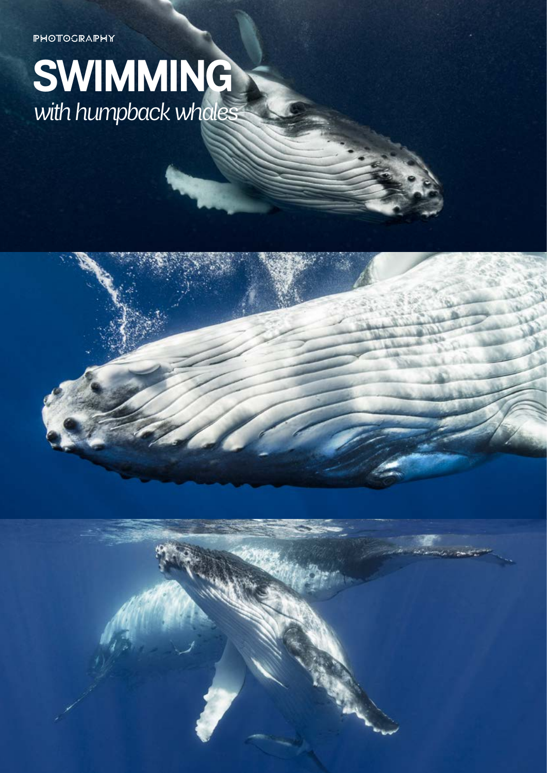**PHOTOGRAPHY** 

## **SWIMMING** *with humpback whales*